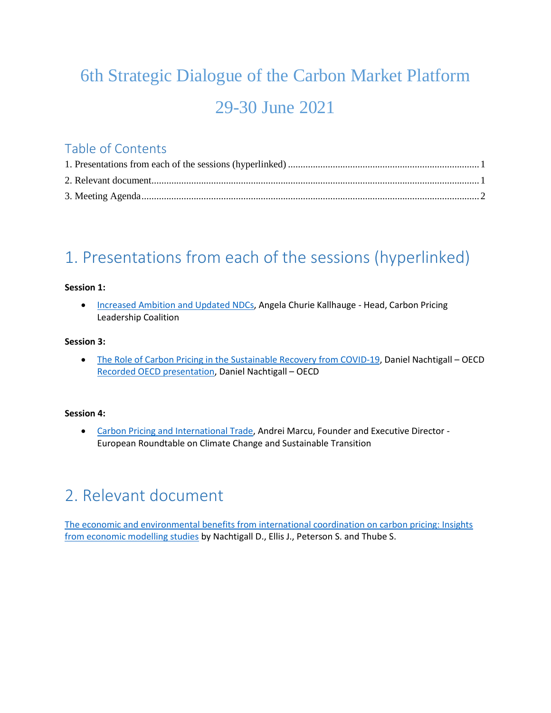# 6th Strategic Dialogue of the Carbon Market Platform 29-30 June 2021

### Table of Contents

### <span id="page-0-0"></span>1. Presentations from each of the sessions (hyperlinked)

### **Session 1:**

• [Increased Ambition and Updated NDCs,](https://www.slideshare.net/OECD_ENV/increased-ambition-and-updated-ndcs-angela-churie-kallhauge-head-carbon-pricing-leadership-coalition) Angela Churie Kallhauge - Head, Carbon Pricing Leadership Coalition

#### **Session 3:**

 [The Role of Carbon Pricing in the Sustainable Recovery from COVID-19,](https://www.slideshare.net/OECD_ENV/the-role-of-carbon-pricing-in-the-sustainable-recovery-from-covid19-daniel-nachtigall-oecd) Daniel Nachtigall – OECD [Recorded OECD presentation,](https://youtu.be/OkKg-bHAvqM) Daniel Nachtigall – OECD

#### **Session 4:**

 [Carbon Pricing and International Trade,](https://www.slideshare.net/OECD_ENV/carbon-pricing-and-international-trade-andrei-marcu-founder-and-executive-director-european-roundtable-on-climate-change-and-sustainable-transition) Andrei Marcu, Founder and Executive Director - European Roundtable on Climate Change and Sustainable Transition

### <span id="page-0-1"></span>2. Relevant document

[The economic and environmental benefits from international coordination on carbon pricing: Insights](https://doi.org/10.1787/d4d3e59e-en)  [from economic modelling studies](https://doi.org/10.1787/d4d3e59e-en) by Nachtigall D., Ellis J., Peterson S. and Thube S.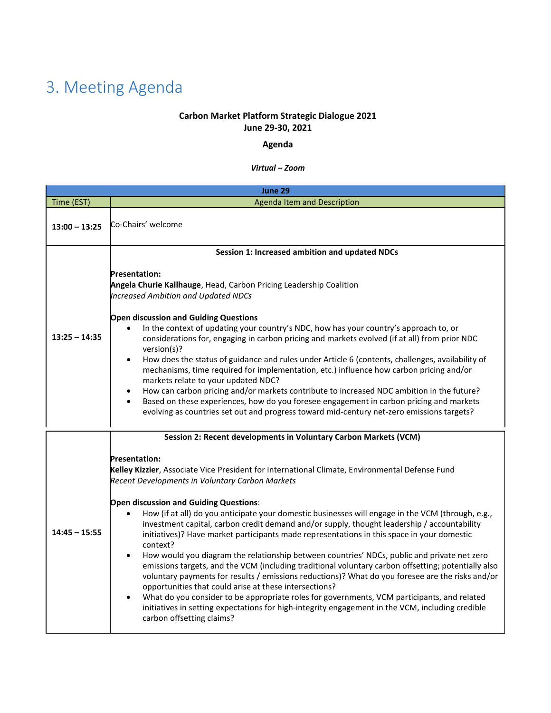## <span id="page-1-0"></span>3. Meeting Agenda

### **Carbon Market Platform Strategic Dialogue 2021 June 29-30, 2021**

### **Agenda**

#### *Virtual – Zoom*

|                 | June 29                                                                                                                                                                                                                                                                                                                                                                                                                                                                                                                                                                                                                                                                                                                                                                                                                                                                                                                                                                                                                                                                                                                                                                                                                             |
|-----------------|-------------------------------------------------------------------------------------------------------------------------------------------------------------------------------------------------------------------------------------------------------------------------------------------------------------------------------------------------------------------------------------------------------------------------------------------------------------------------------------------------------------------------------------------------------------------------------------------------------------------------------------------------------------------------------------------------------------------------------------------------------------------------------------------------------------------------------------------------------------------------------------------------------------------------------------------------------------------------------------------------------------------------------------------------------------------------------------------------------------------------------------------------------------------------------------------------------------------------------------|
| Time (EST)      | <b>Agenda Item and Description</b>                                                                                                                                                                                                                                                                                                                                                                                                                                                                                                                                                                                                                                                                                                                                                                                                                                                                                                                                                                                                                                                                                                                                                                                                  |
| $13:00 - 13:25$ | Co-Chairs' welcome                                                                                                                                                                                                                                                                                                                                                                                                                                                                                                                                                                                                                                                                                                                                                                                                                                                                                                                                                                                                                                                                                                                                                                                                                  |
| $13:25 - 14:35$ | Session 1: Increased ambition and updated NDCs<br><b>Presentation:</b><br>Angela Churie Kallhauge, Head, Carbon Pricing Leadership Coalition<br><b>Increased Ambition and Updated NDCs</b><br><b>Open discussion and Guiding Questions</b><br>In the context of updating your country's NDC, how has your country's approach to, or<br>considerations for, engaging in carbon pricing and markets evolved (if at all) from prior NDC<br>version(s)?<br>How does the status of guidance and rules under Article 6 (contents, challenges, availability of<br>$\bullet$<br>mechanisms, time required for implementation, etc.) influence how carbon pricing and/or<br>markets relate to your updated NDC?<br>How can carbon pricing and/or markets contribute to increased NDC ambition in the future?<br>$\bullet$<br>Based on these experiences, how do you foresee engagement in carbon pricing and markets<br>$\bullet$<br>evolving as countries set out and progress toward mid-century net-zero emissions targets?                                                                                                                                                                                                               |
| $14:45 - 15:55$ | Session 2: Recent developments in Voluntary Carbon Markets (VCM)<br><b>Presentation:</b><br>Kelley Kizzier, Associate Vice President for International Climate, Environmental Defense Fund<br>Recent Developments in Voluntary Carbon Markets<br>Open discussion and Guiding Questions:<br>How (if at all) do you anticipate your domestic businesses will engage in the VCM (through, e.g.,<br>$\bullet$<br>investment capital, carbon credit demand and/or supply, thought leadership / accountability<br>initiatives)? Have market participants made representations in this space in your domestic<br>context?<br>How would you diagram the relationship between countries' NDCs, public and private net zero<br>$\bullet$<br>emissions targets, and the VCM (including traditional voluntary carbon offsetting; potentially also<br>voluntary payments for results / emissions reductions)? What do you foresee are the risks and/or<br>opportunities that could arise at these intersections?<br>What do you consider to be appropriate roles for governments, VCM participants, and related<br>initiatives in setting expectations for high-integrity engagement in the VCM, including credible<br>carbon offsetting claims? |